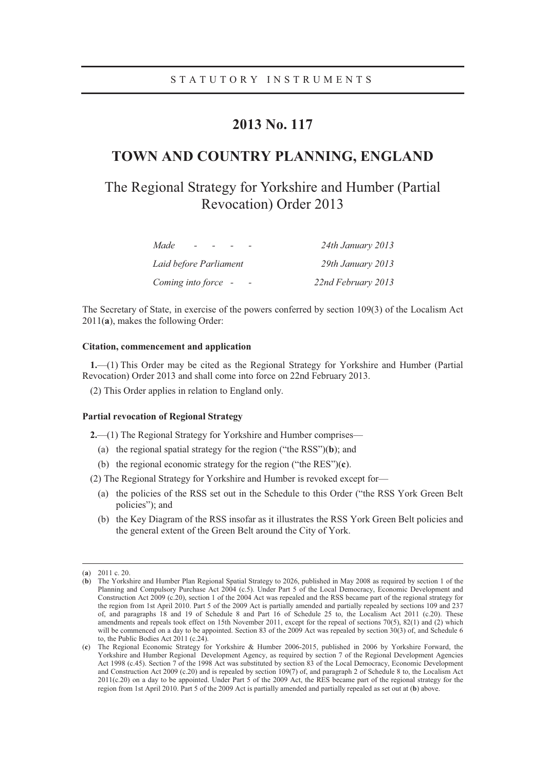## **2013 No. 117**

## **TOWN AND COUNTRY PLANNING, ENGLAND**

# The Regional Strategy for Yorkshire and Humber (Partial Revocation) Order 2013

| Made<br>$\overline{\phantom{0}}$ | 24th January 2013  |
|----------------------------------|--------------------|
| Laid before Parliament           | 29th January 2013  |
| Coming into force -              | 22nd February 2013 |

The Secretary of State, in exercise of the powers conferred by section 109(3) of the Localism Act 2011(**a**), makes the following Order:

### **Citation, commencement and application**

**1.**—(1) This Order may be cited as the Regional Strategy for Yorkshire and Humber (Partial Revocation) Order 2013 and shall come into force on 22nd February 2013.

(2) This Order applies in relation to England only.

#### **Partial revocation of Regional Strategy**

**2.**—(1) The Regional Strategy for Yorkshire and Humber comprises—

- (a) the regional spatial strategy for the region ("the RSS")(**b**); and
- (b) the regional economic strategy for the region ("the RES")(**c**).

(2) The Regional Strategy for Yorkshire and Humber is revoked except for—

- (a) the policies of the RSS set out in the Schedule to this Order ("the RSS York Green Belt policies"); and
- (b) the Key Diagram of the RSS insofar as it illustrates the RSS York Green Belt policies and the general extent of the Green Belt around the City of York.

 <sup>(</sup>**a**) 2011 c. 20.

<sup>(</sup>**b**) The Yorkshire and Humber Plan Regional Spatial Strategy to 2026, published in May 2008 as required by section 1 of the Planning and Compulsory Purchase Act 2004 (c.5). Under Part 5 of the Local Democracy, Economic Development and Construction Act 2009 (c.20), section 1 of the 2004 Act was repealed and the RSS became part of the regional strategy for the region from 1st April 2010. Part 5 of the 2009 Act is partially amended and partially repealed by sections 109 and 237 of, and paragraphs 18 and 19 of Schedule 8 and Part 16 of Schedule 25 to, the Localism Act 2011 (c.20). These amendments and repeals took effect on 15th November 2011, except for the repeal of sections 70(5), 82(1) and (2) which will be commenced on a day to be appointed. Section 83 of the 2009 Act was repealed by section 30(3) of, and Schedule 6 to, the Public Bodies Act 2011 (c.24).

<sup>(</sup>**c**) The Regional Economic Strategy for Yorkshire & Humber 2006-2015, published in 2006 by Yorkshire Forward, the Yorkshire and Humber Regional Development Agency, as required by section 7 of the Regional Development Agencies Act 1998 (c.45). Section 7 of the 1998 Act was substituted by section 83 of the Local Democracy, Economic Development and Construction Act 2009 (c.20) and is repealed by section 109(7) of, and paragraph 2 of Schedule 8 to, the Localism Act 2011(c.20) on a day to be appointed. Under Part 5 of the 2009 Act, the RES became part of the regional strategy for the region from 1st April 2010. Part 5 of the 2009 Act is partially amended and partially repealed as set out at (**b**) above.